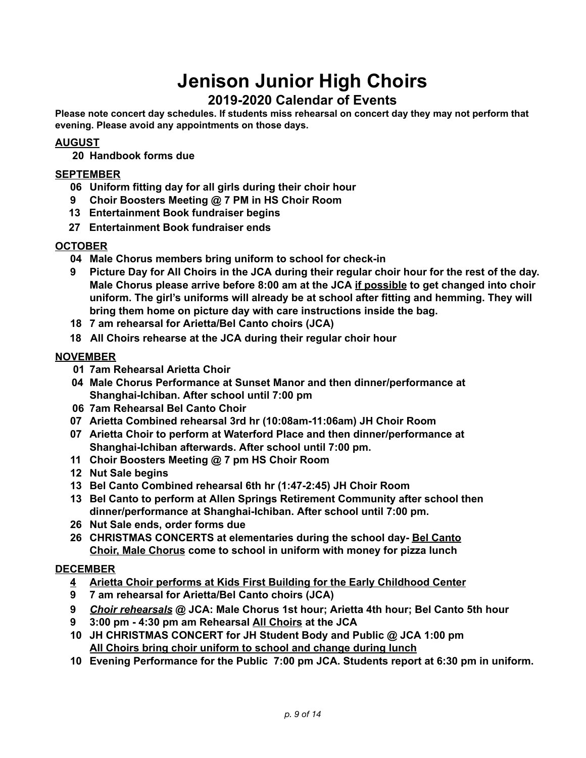# **Jenison Junior High Choirs**

# **2019-2020 Calendar of Events**

**Please note concert day schedules. If students miss rehearsal on concert day they may not perform that evening. Please avoid any appointments on those days.**

## **AUGUST**

**20 Handbook forms due**

#### **SEPTEMBER**

- **06 Uniform fitting day for all girls during their choir hour**
- **9 Choir Boosters Meeting @ 7 PM in HS Choir Room**
- **13 Entertainment Book fundraiser begins**
- **27 Entertainment Book fundraiser ends**

#### **OCTOBER**

- **04 Male Chorus members bring uniform to school for check-in**
- 9 Picture Day for All Choirs in the JCA during their regular choir hour for the rest of the day. **Male Chorus please arrive before 8:00 am at the JCA if possible to get changed into choir uniform. The girl's uniforms will already be at school after fitting and hemming. They will bring them home on picture day with care instructions inside the bag.**
- **18 7 am rehearsal for Arietta/Bel Canto choirs (JCA)**
- **18 All Choirs rehearse at the JCA during their regular choir hour**

#### **NOVEMBER**

- **01 7am Rehearsal Arietta Choir**
- **04 Male Chorus Performance at Sunset Manor and then dinner/performance at Shanghai-Ichiban. After school until 7:00 pm**
- **06 7am Rehearsal Bel Canto Choir**
- **07 Arietta Combined rehearsal 3rd hr (10:08am-11:06am) JH Choir Room**
- **07 Arietta Choir to perform at Waterford Place and then dinner/performance at Shanghai-Ichiban afterwards. After school until 7:00 pm.**
- **11 Choir Boosters Meeting @ 7 pm HS Choir Room**
- **12 Nut Sale begins**
- **13 Bel Canto Combined rehearsal 6th hr (1:47-2:45) JH Choir Room**
- **13 Bel Canto to perform at Allen Springs Retirement Community after school then dinner/performance at Shanghai-Ichiban. After school until 7:00 pm.**
- **26 Nut Sale ends, order forms due**
- **26 CHRISTMAS CONCERTS at elementaries during the school day- Bel Canto Choir, Male Chorus come to school in uniform with money for pizza lunch**

#### **DECEMBER**

- **4 Arietta Choir performs at Kids First Building for the Early Childhood Center**
- **9 7 am rehearsal for Arietta/Bel Canto choirs (JCA)**
- **9** *Choir rehearsals* **@ JCA: Male Chorus 1st hour; Arietta 4th hour; Bel Canto 5th hour**
- **9 3:00 pm - 4:30 pm am Rehearsal All Choirs at the JCA**
- **10 JH CHRISTMAS CONCERT for JH Student Body and Public @ JCA 1:00 pm All Choirs bring choir uniform to school and change during lunch**
- **10 Evening Performance for the Public 7:00 pm JCA. Students report at 6:30 pm in uniform.**